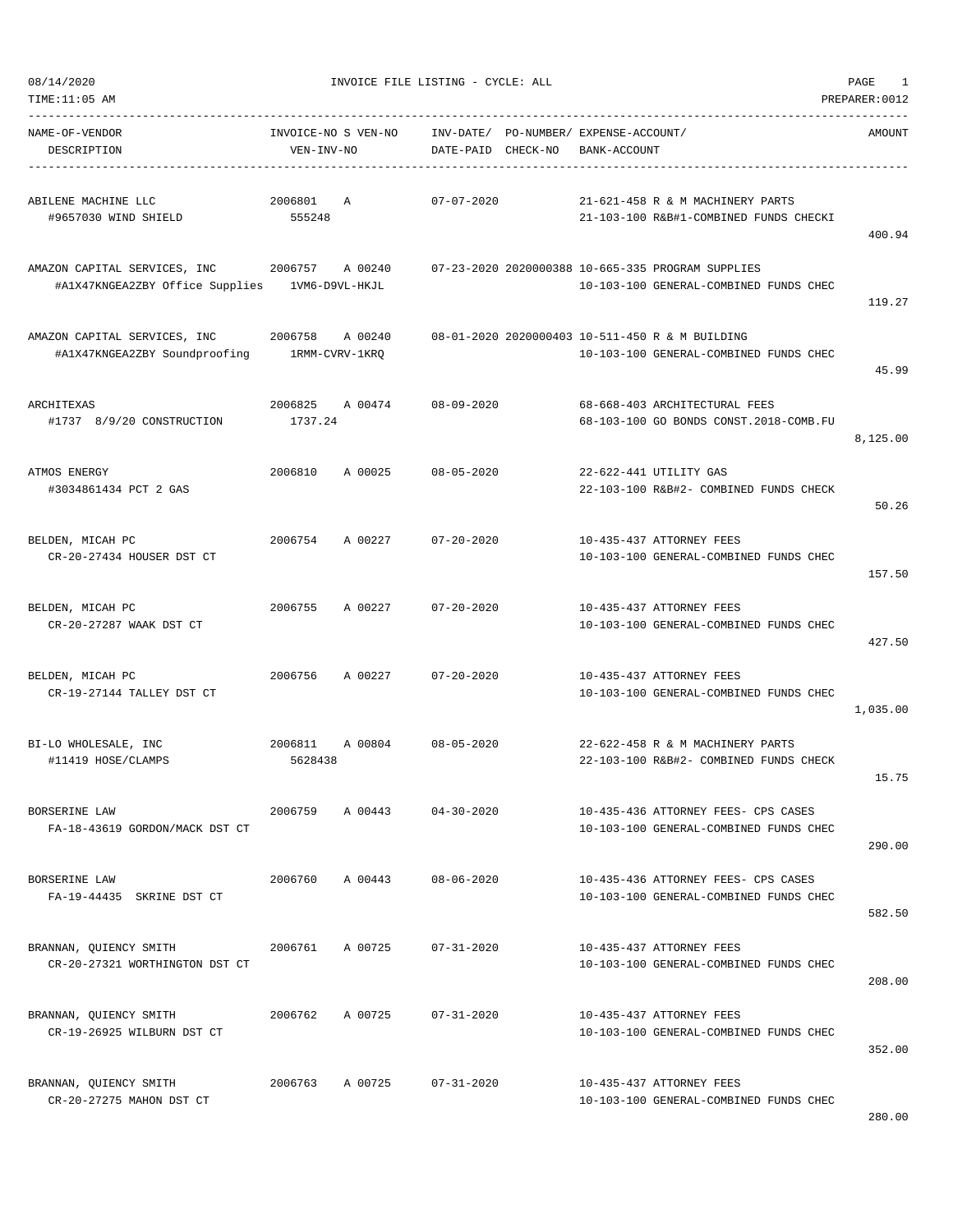08/14/2020 INVOICE FILE LISTING - CYCLE: ALL PAGE 1

| NAME-OF-VENDOR<br>DESCRIPTION                                                                                                                    | VEN-INV-NO          | INVOICE-NO S VEN-NO | INV-DATE/ PO-NUMBER/ EXPENSE-ACCOUNT/<br>DATE-PAID CHECK-NO | BANK-ACCOUNT |                                                                                           | AMOUNT   |
|--------------------------------------------------------------------------------------------------------------------------------------------------|---------------------|---------------------|-------------------------------------------------------------|--------------|-------------------------------------------------------------------------------------------|----------|
| ABILENE MACHINE LLC<br>#9657030 WIND SHIELD                                                                                                      | 2006801 A<br>555248 |                     | $07 - 07 - 2020$                                            |              | 21-621-458 R & M MACHINERY PARTS<br>21-103-100 R&B#1-COMBINED FUNDS CHECKI                | 400.94   |
| AMAZON CAPITAL SERVICES, INC 3006757 A 00240 07-23-2020 2020000388 10-665-335 PROGRAM SUPPLIES<br>#A1X47KNGEA2ZBY Office Supplies 1VM6-D9VL-HKJL |                     |                     |                                                             |              | 10-103-100 GENERAL-COMBINED FUNDS CHEC                                                    | 119.27   |
| AMAZON CAPITAL SERVICES, INC 2006758<br>#A1X47KNGEA2ZBY Soundproofing 1RMM-CVRV-1KRQ                                                             |                     | A 00240             |                                                             |              | 08-01-2020 2020000403 10-511-450 R & M BUILDING<br>10-103-100 GENERAL-COMBINED FUNDS CHEC | 45.99    |
| ARCHITEXAS<br>#1737 8/9/20 CONSTRUCTION                                                                                                          | 1737.24             |                     | 2006825 A 00474 08-09-2020                                  |              | 68-668-403 ARCHITECTURAL FEES<br>68-103-100 GO BONDS CONST.2018-COMB.FU                   | 8,125.00 |
| ATMOS ENERGY<br>#3034861434 PCT 2 GAS                                                                                                            |                     |                     | 2006810 A 00025 08-05-2020                                  |              | 22-622-441 UTILITY GAS<br>22-103-100 R&B#2- COMBINED FUNDS CHECK                          | 50.26    |
| BELDEN, MICAH PC<br>CR-20-27434 HOUSER DST CT                                                                                                    | 2006754             | A 00227             | $07 - 20 - 2020$                                            |              | 10-435-437 ATTORNEY FEES<br>10-103-100 GENERAL-COMBINED FUNDS CHEC                        | 157.50   |
| BELDEN, MICAH PC<br>CR-20-27287 WAAK DST CT                                                                                                      | 2006755             |                     | A 00227 07-20-2020                                          |              | 10-435-437 ATTORNEY FEES<br>10-103-100 GENERAL-COMBINED FUNDS CHEC                        | 427.50   |
| BELDEN, MICAH PC<br>CR-19-27144 TALLEY DST CT                                                                                                    | 2006756             | A 00227             | $07 - 20 - 2020$                                            |              | 10-435-437 ATTORNEY FEES<br>10-103-100 GENERAL-COMBINED FUNDS CHEC                        | 1,035.00 |
| BI-LO WHOLESALE, INC<br>#11419 HOSE/CLAMPS                                                                                                       | 2006811<br>5628438  |                     | A 00804 08-05-2020                                          |              | 22-622-458 R & M MACHINERY PARTS<br>22-103-100 R&B#2- COMBINED FUNDS CHECK                | 15.75    |
| BORSERINE LAW<br>FA-18-43619 GORDON/MACK DST CT                                                                                                  | 2006759             | A 00443             | $04 - 30 - 2020$                                            |              | 10-435-436 ATTORNEY FEES- CPS CASES<br>10-103-100 GENERAL-COMBINED FUNDS CHEC             | 290.00   |
| BORSERINE LAW<br>FA-19-44435 SKRINE DST CT                                                                                                       | 2006760             | A 00443             | $08 - 06 - 2020$                                            |              | 10-435-436 ATTORNEY FEES- CPS CASES<br>10-103-100 GENERAL-COMBINED FUNDS CHEC             | 582.50   |
| BRANNAN, OUIENCY SMITH<br>CR-20-27321 WORTHINGTON DST CT                                                                                         | 2006761             | A 00725             | $07 - 31 - 2020$                                            |              | 10-435-437 ATTORNEY FEES<br>10-103-100 GENERAL-COMBINED FUNDS CHEC                        | 208.00   |
| BRANNAN, QUIENCY SMITH<br>CR-19-26925 WILBURN DST CT                                                                                             | 2006762             | A 00725             | $07 - 31 - 2020$                                            |              | 10-435-437 ATTORNEY FEES<br>10-103-100 GENERAL-COMBINED FUNDS CHEC                        | 352.00   |
| BRANNAN, QUIENCY SMITH<br>CR-20-27275 MAHON DST CT                                                                                               | 2006763             | A 00725             | $07 - 31 - 2020$                                            |              | 10-435-437 ATTORNEY FEES<br>10-103-100 GENERAL-COMBINED FUNDS CHEC                        |          |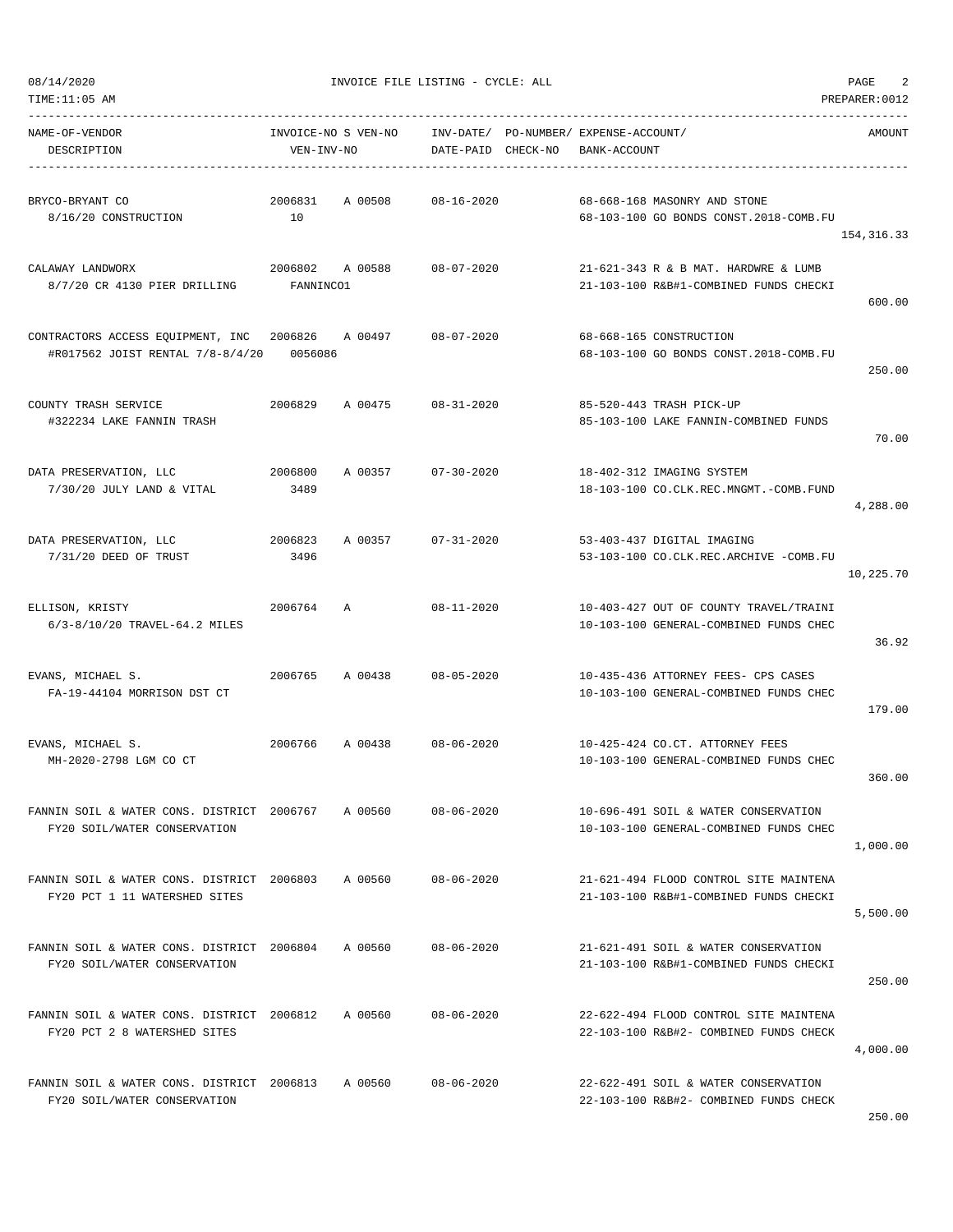08/14/2020 INVOICE FILE LISTING - CYCLE: ALL PAGE 2

| TIME:11:05 AM                                                               |                                   |         |                        |          |                                                                                  | PREPARER: 0012 |
|-----------------------------------------------------------------------------|-----------------------------------|---------|------------------------|----------|----------------------------------------------------------------------------------|----------------|
| NAME-OF-VENDOR<br>DESCRIPTION                                               | INVOICE-NO S VEN-NO<br>VEN-INV-NO |         | INV-DATE/<br>DATE-PAID | CHECK-NO | PO-NUMBER/ EXPENSE-ACCOUNT/<br>BANK-ACCOUNT                                      | AMOUNT         |
| BRYCO-BRYANT CO<br>8/16/20 CONSTRUCTION                                     | 2006831<br>10                     | A 00508 | $08 - 16 - 2020$       |          | 68-668-168 MASONRY AND STONE<br>68-103-100 GO BONDS CONST.2018-COMB.FU           | 154, 316.33    |
| CALAWAY LANDWORX<br>8/7/20 CR 4130 PIER DRILLING                            | 2006802<br>FANNINCO1              | A 00588 | $08 - 07 - 2020$       |          | 21-621-343 R & B MAT. HARDWRE & LUMB<br>21-103-100 R&B#1-COMBINED FUNDS CHECKI   | 600.00         |
| CONTRACTORS ACCESS EQUIPMENT, INC<br>#R017562 JOIST RENTAL 7/8-8/4/20       | 2006826<br>0056086                | A 00497 | $08 - 07 - 2020$       |          | 68-668-165 CONSTRUCTION<br>68-103-100 GO BONDS CONST.2018-COMB.FU                | 250.00         |
| COUNTY TRASH SERVICE<br>#322234 LAKE FANNIN TRASH                           | 2006829                           | A 00475 | $08 - 31 - 2020$       |          | 85-520-443 TRASH PICK-UP<br>85-103-100 LAKE FANNIN-COMBINED FUNDS                | 70.00          |
| DATA PRESERVATION, LLC<br>$7/30/20$ JULY LAND & VITAL                       | 2006800<br>3489                   | A 00357 | $07 - 30 - 2020$       |          | 18-402-312 IMAGING SYSTEM<br>18-103-100 CO.CLK.REC.MNGMT.-COMB.FUND              | 4,288.00       |
| DATA PRESERVATION, LLC<br>7/31/20 DEED OF TRUST                             | 2006823<br>3496                   | A 00357 | $07 - 31 - 2020$       |          | 53-403-437 DIGITAL IMAGING<br>53-103-100 CO.CLK.REC.ARCHIVE -COMB.FU             | 10,225.70      |
| ELLISON, KRISTY<br>6/3-8/10/20 TRAVEL-64.2 MILES                            | 2006764                           | Α       | $08 - 11 - 2020$       |          | 10-403-427 OUT OF COUNTY TRAVEL/TRAINI<br>10-103-100 GENERAL-COMBINED FUNDS CHEC | 36.92          |
| EVANS, MICHAEL S.<br>FA-19-44104 MORRISON DST CT                            | 2006765                           | A 00438 | $08 - 05 - 2020$       |          | 10-435-436 ATTORNEY FEES- CPS CASES<br>10-103-100 GENERAL-COMBINED FUNDS CHEC    | 179.00         |
| EVANS, MICHAEL S.<br>MH-2020-2798 LGM CO CT                                 | 2006766                           | A 00438 | $08 - 06 - 2020$       |          | 10-425-424 CO.CT. ATTORNEY FEES<br>10-103-100 GENERAL-COMBINED FUNDS CHEC        | 360.00         |
| FANNIN SOIL & WATER CONS. DISTRICT 2006767<br>FY20 SOIL/WATER CONSERVATION  |                                   | A 00560 | $08 - 06 - 2020$       |          | 10-696-491 SOIL & WATER CONSERVATION<br>10-103-100 GENERAL-COMBINED FUNDS CHEC   | 1,000.00       |
| FANNIN SOIL & WATER CONS. DISTRICT 2006803<br>FY20 PCT 1 11 WATERSHED SITES |                                   | A 00560 | $08 - 06 - 2020$       |          | 21-621-494 FLOOD CONTROL SITE MAINTENA<br>21-103-100 R&B#1-COMBINED FUNDS CHECKI | 5,500.00       |
| FANNIN SOIL & WATER CONS. DISTRICT 2006804<br>FY20 SOIL/WATER CONSERVATION  |                                   | A 00560 | $08 - 06 - 2020$       |          | 21-621-491 SOIL & WATER CONSERVATION<br>21-103-100 R&B#1-COMBINED FUNDS CHECKI   | 250.00         |
| FANNIN SOIL & WATER CONS. DISTRICT 2006812<br>FY20 PCT 2 8 WATERSHED SITES  |                                   | A 00560 | $08 - 06 - 2020$       |          | 22-622-494 FLOOD CONTROL SITE MAINTENA<br>22-103-100 R&B#2- COMBINED FUNDS CHECK | 4,000.00       |
| FANNIN SOIL & WATER CONS. DISTRICT 2006813<br>FY20 SOIL/WATER CONSERVATION  |                                   | A 00560 | $08 - 06 - 2020$       |          | 22-622-491 SOIL & WATER CONSERVATION<br>22-103-100 R&B#2- COMBINED FUNDS CHECK   |                |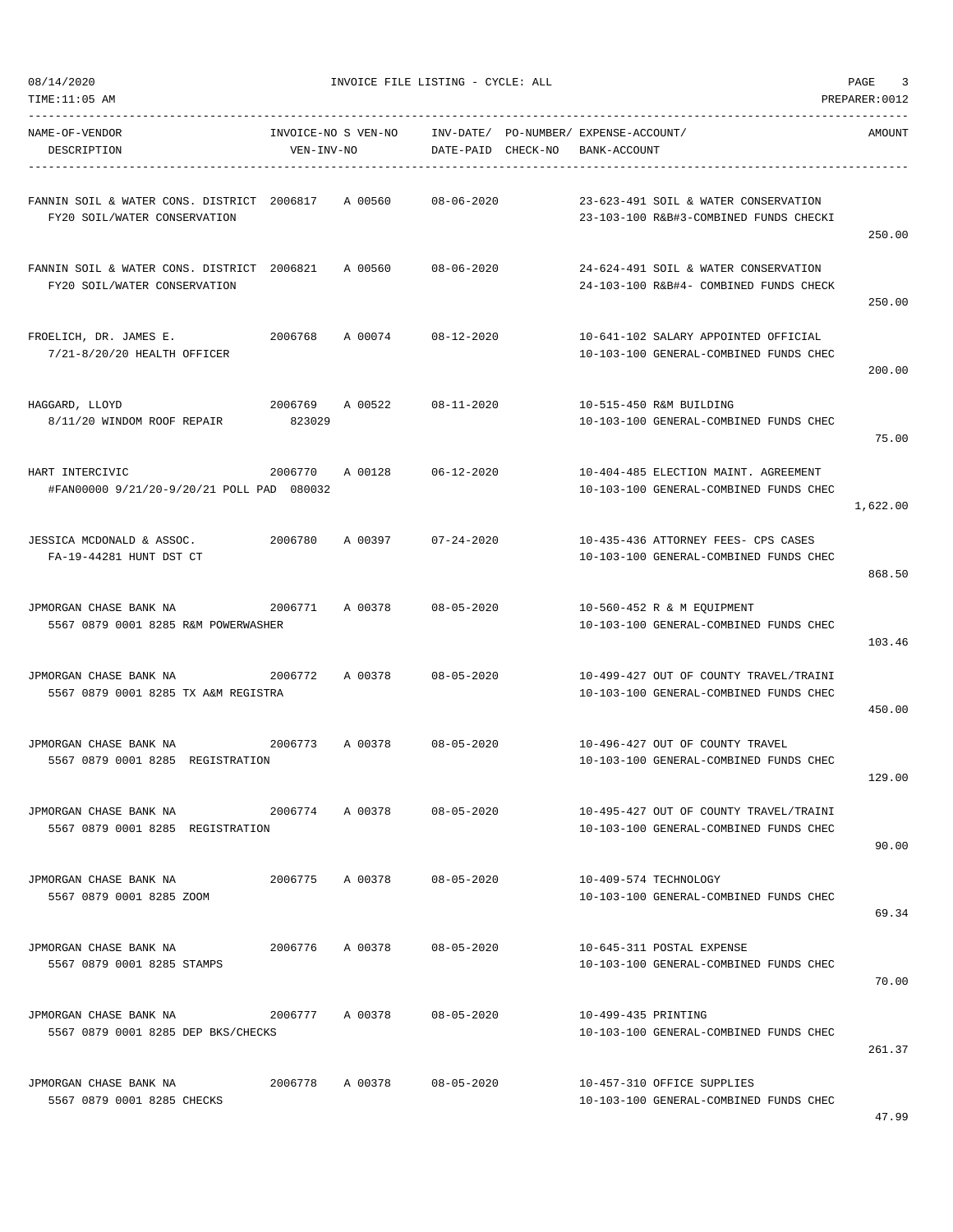TIME:11:05 AM PREPARER:0012

08/14/2020 INVOICE FILE LISTING - CYCLE: ALL PAGE 3

| NAME-OF-VENDOR<br>DESCRIPTION                                              | INVOICE-NO S VEN-NO<br>VEN-INV-NO |         | DATE-PAID CHECK-NO | INV-DATE/ PO-NUMBER/ EXPENSE-ACCOUNT/<br>BANK-ACCOUNT |                                                                                  | AMOUNT   |
|----------------------------------------------------------------------------|-----------------------------------|---------|--------------------|-------------------------------------------------------|----------------------------------------------------------------------------------|----------|
|                                                                            |                                   |         |                    |                                                       |                                                                                  |          |
| FANNIN SOIL & WATER CONS. DISTRICT 2006817<br>FY20 SOIL/WATER CONSERVATION |                                   | A 00560 | $08 - 06 - 2020$   |                                                       | 23-623-491 SOIL & WATER CONSERVATION<br>23-103-100 R&B#3-COMBINED FUNDS CHECKI   | 250.00   |
| FANNIN SOIL & WATER CONS. DISTRICT 2006821<br>FY20 SOIL/WATER CONSERVATION |                                   | A 00560 | $08 - 06 - 2020$   |                                                       | 24-624-491 SOIL & WATER CONSERVATION<br>24-103-100 R&B#4- COMBINED FUNDS CHECK   | 250.00   |
| FROELICH, DR. JAMES E.<br>7/21-8/20/20 HEALTH OFFICER                      | 2006768                           | A 00074 | $08 - 12 - 2020$   |                                                       | 10-641-102 SALARY APPOINTED OFFICIAL<br>10-103-100 GENERAL-COMBINED FUNDS CHEC   | 200.00   |
| HAGGARD, LLOYD<br>8/11/20 WINDOM ROOF REPAIR                               | 2006769<br>823029                 | A 00522 | $08 - 11 - 2020$   |                                                       | 10-515-450 R&M BUILDING<br>10-103-100 GENERAL-COMBINED FUNDS CHEC                | 75.00    |
| HART INTERCIVIC<br>#FAN00000 9/21/20-9/20/21 POLL PAD 080032               | 2006770                           | A 00128 | $06 - 12 - 2020$   |                                                       | 10-404-485 ELECTION MAINT. AGREEMENT<br>10-103-100 GENERAL-COMBINED FUNDS CHEC   | 1,622.00 |
| JESSICA MCDONALD & ASSOC.<br>FA-19-44281 HUNT DST CT                       | 2006780                           | A 00397 | $07 - 24 - 2020$   |                                                       | 10-435-436 ATTORNEY FEES- CPS CASES<br>10-103-100 GENERAL-COMBINED FUNDS CHEC    | 868.50   |
| JPMORGAN CHASE BANK NA<br>5567 0879 0001 8285 R&M POWERWASHER              | 2006771                           | A 00378 | $08 - 05 - 2020$   |                                                       | 10-560-452 R & M EQUIPMENT<br>10-103-100 GENERAL-COMBINED FUNDS CHEC             | 103.46   |
| JPMORGAN CHASE BANK NA<br>5567 0879 0001 8285 TX A&M REGISTRA              | 2006772                           | A 00378 | $08 - 05 - 2020$   |                                                       | 10-499-427 OUT OF COUNTY TRAVEL/TRAINI<br>10-103-100 GENERAL-COMBINED FUNDS CHEC | 450.00   |
| JPMORGAN CHASE BANK NA<br>5567 0879 0001 8285 REGISTRATION                 | 2006773                           | A 00378 | $08 - 05 - 2020$   |                                                       | 10-496-427 OUT OF COUNTY TRAVEL<br>10-103-100 GENERAL-COMBINED FUNDS CHEC        | 129.00   |
| JPMORGAN CHASE BANK NA<br>5567 0879 0001 8285 REGISTRATION                 | 2006774                           | A 00378 | $08 - 05 - 2020$   |                                                       | 10-495-427 OUT OF COUNTY TRAVEL/TRAINI<br>10-103-100 GENERAL-COMBINED FUNDS CHEC | 90.00    |
| JPMORGAN CHASE BANK NA<br>5567 0879 0001 8285 ZOOM                         | 2006775                           | A 00378 | $08 - 05 - 2020$   | 10-409-574 TECHNOLOGY                                 | 10-103-100 GENERAL-COMBINED FUNDS CHEC                                           | 69.34    |
| JPMORGAN CHASE BANK NA<br>5567 0879 0001 8285 STAMPS                       | 2006776                           | A 00378 | $08 - 05 - 2020$   |                                                       | 10-645-311 POSTAL EXPENSE<br>10-103-100 GENERAL-COMBINED FUNDS CHEC              | 70.00    |
| JPMORGAN CHASE BANK NA<br>5567 0879 0001 8285 DEP BKS/CHECKS               | 2006777                           | A 00378 | $08 - 05 - 2020$   | 10-499-435 PRINTING                                   | 10-103-100 GENERAL-COMBINED FUNDS CHEC                                           | 261.37   |
| JPMORGAN CHASE BANK NA<br>5567 0879 0001 8285 CHECKS                       | 2006778                           | A 00378 | $08 - 05 - 2020$   |                                                       | 10-457-310 OFFICE SUPPLIES<br>10-103-100 GENERAL-COMBINED FUNDS CHEC             |          |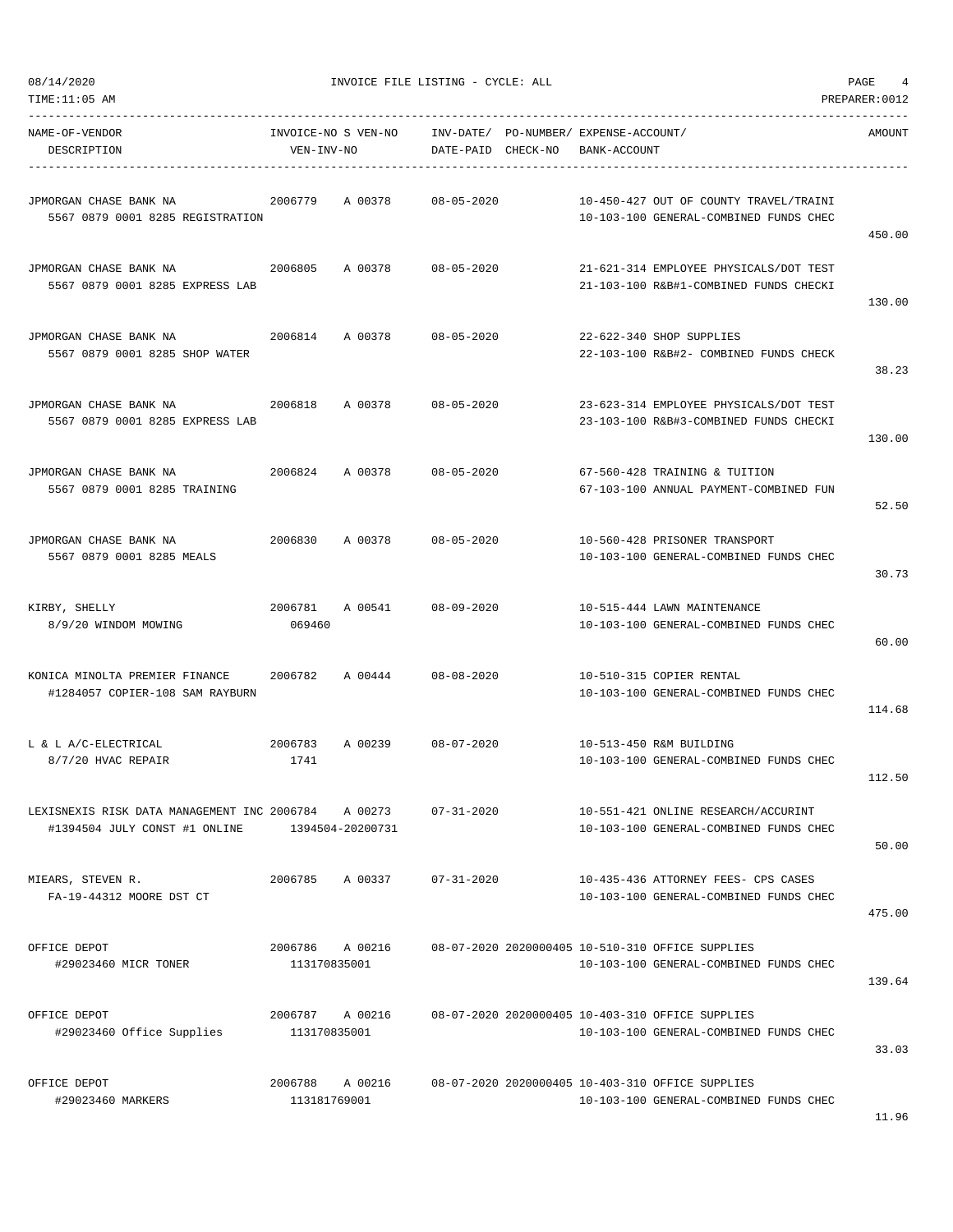|  | 08/14/2020 |  |
|--|------------|--|
|  |            |  |

INVOICE FILE LISTING - CYCLE: ALL PAGE 4

TIME:11:05 AM PREPARER:0012

----------------------------------------------------------------------------------------------------------------------------------- NAME-OF-VENDOR INVOICE-NO S VEN-NO INV-DATE/ PO-NUMBER/ EXPENSE-ACCOUNT/ AMOUNT DESCRIPTION VEN-INV-NO DATE-PAID CHECK-NO BANK-ACCOUNT ----------------------------------------------------------------------------------------------------------------------------------- JPMORGAN CHASE BANK NA 2006779 A 00378 08-05-2020 10-450-427 OUT OF COUNTY TRAVEL/TRAINI 5567 0879 0001 8285 REGISTRATION 10-103-100 GENERAL-COMBINED FUNDS CHEC 450.00 JPMORGAN CHASE BANK NA 2006805 A 00378 08-05-2020 21-621-314 EMPLOYEE PHYSICALS/DOT TEST 5567 0879 0001 8285 EXPRESS LAB 21-103-100 R&B#1-COMBINED FUNDS CHECKI 130.00 JPMORGAN CHASE BANK NA 2006814 A 00378 08-05-2020 22-622-340 SHOP SUPPLIES 5567 0879 0001 8285 SHOP WATER 22-103-100 R&B#2- COMBINED FUNDS CHECK 38.23 JPMORGAN CHASE BANK NA 2006818 A 00378 08-05-2020 23-623-314 EMPLOYEE PHYSICALS/DOT TEST 5567 0879 0001 8285 EXPRESS LAB 23-103-100 R&B#3-COMBINED FUNDS CHECKI 130.00 JPMORGAN CHASE BANK NA 2006824 A 00378 08-05-2020 67-560-428 TRAINING & TUITION 5567 0879 0001 8285 TRAINING 67-103-100 ANNUAL PAYMENT-COMBINED FUN 52.50 JPMORGAN CHASE BANK NA 2006830 A 00378 08-05-2020 10-560-428 PRISONER TRANSPORT 5567 0879 0001 8285 MEALS 10-103-100 GENERAL-COMBINED FUNDS CHEC 30.73 KIRBY, SHELLY 2006781 A 00541 08-09-2020 10-515-444 LAWN MAINTENANCE  $8/9/20$  WINDOM MOWING  $069460$   $069460$  10-103-100 GENERAL-COMBINED FUNDS CHEC 60.00 KONICA MINOLTA PREMIER FINANCE 2006782 A 00444 08-08-2020 10-510-315 COPIER RENTAL #1284057 COPIER-108 SAM RAYBURN 10-103-100 GENERAL-COMBINED FUNDS CHEC 114.68 L & L A/C-ELECTRICAL 2006783 A 00239 08-07-2020 10-513-450 R&M BUILDING  $8/7/20$  HVAC REPAIR  $1741$   $1741$ 112.50 LEXISNEXIS RISK DATA MANAGEMENT INC 2006784 A 00273 07-31-2020 10-551-421 ONLINE RESEARCH/ACCURINT #1394504 JULY CONST #1 ONLINE 1394504-20200731 10-103-100 GENERAL-COMBINED FUNDS CHEC 50.00 MIEARS, STEVEN R. 2006785 A 00337 07-31-2020 10-435-436 ATTORNEY FEES- CPS CASES FA-19-44312 MOORE DST CT 10-103-100 GENERAL-COMBINED FUNDS CHEC 475.00 OFFICE DEPOT 2006786 A 00216 08-07-2020 2020000405 10-510-310 OFFICE SUPPLIES #29023460 MICR TONER 113170835001 10-103-100 GENERAL-COMBINED FUNDS CHEC 139.64 OFFICE DEPOT 2006787 A 00216 08-07-2020 2020000405 10-403-310 OFFICE SUPPLIES #29023460 Office Supplies 113170835001 10-103-100 GENERAL-COMBINED FUNDS CHEC 33.03 OFFICE DEPOT 2006788 A 00216 08-07-2020 2020000405 10-403-310 OFFICE SUPPLIES #29023460 MARKERS 113181769001 10-103-100 GENERAL-COMBINED FUNDS CHEC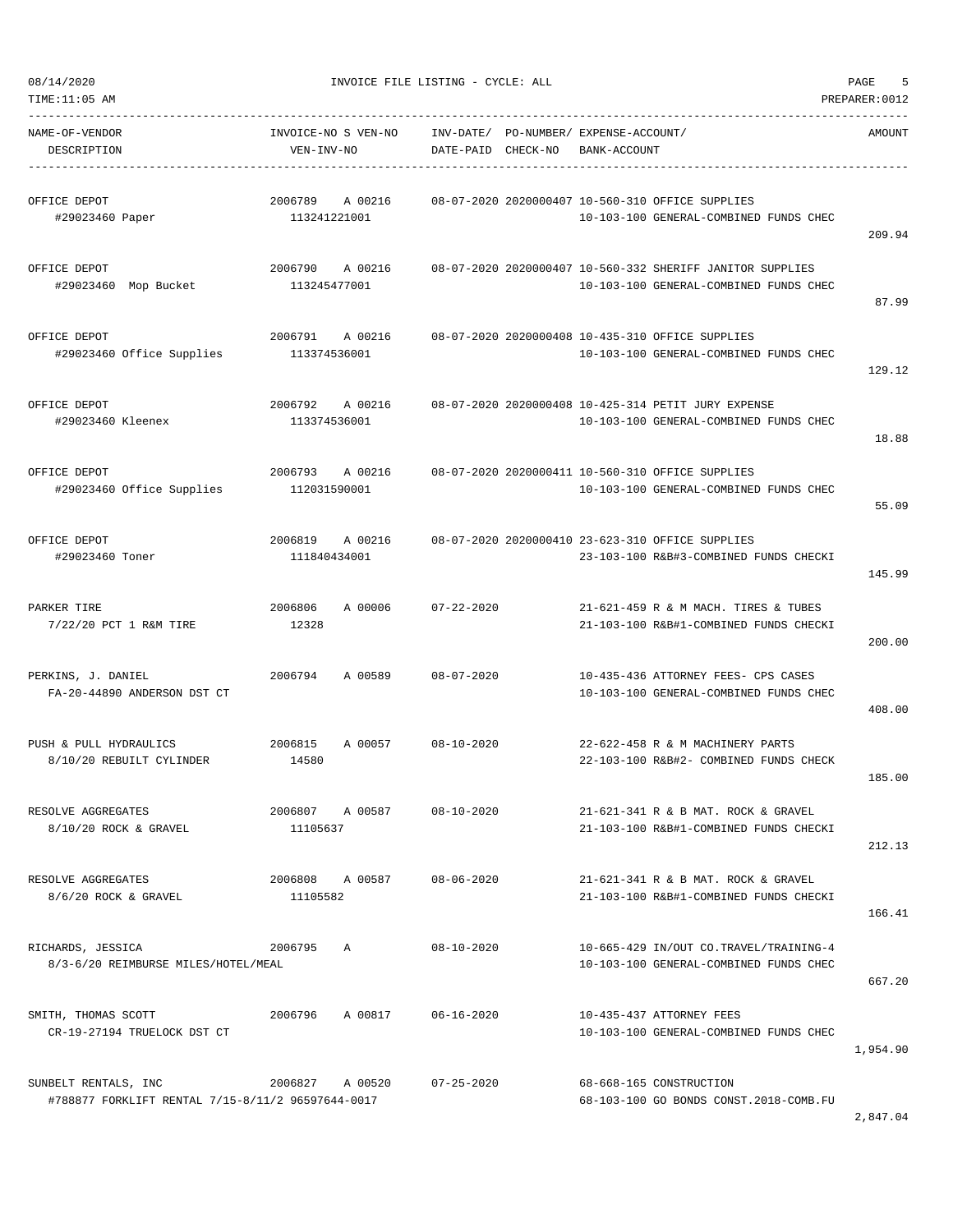08/14/2020 INVOICE FILE LISTING - CYCLE: ALL PAGE 5

2,847.04

TIME:11:05 AM PREPARER:0012 -----------------------------------------------------------------------------------------------------------------------------------

| NAME-OF-VENDOR<br>DESCRIPTION                                             | INVOICE-NO S VEN-NO<br>VEN-INV-NO  | DATE-PAID        | CHECK-NO | INV-DATE/ PO-NUMBER/ EXPENSE-ACCOUNT/<br>BANK-ACCOUNT                                               | <b>AMOUNT</b> |
|---------------------------------------------------------------------------|------------------------------------|------------------|----------|-----------------------------------------------------------------------------------------------------|---------------|
| OFFICE DEPOT<br>#29023460 Paper                                           | 2006789<br>A 00216<br>113241221001 |                  |          | 08-07-2020 2020000407 10-560-310 OFFICE SUPPLIES<br>10-103-100 GENERAL-COMBINED FUNDS CHEC          | 209.94        |
| OFFICE DEPOT<br>#29023460 Mop Bucket                                      | 2006790<br>A 00216<br>113245477001 |                  |          | 08-07-2020 2020000407 10-560-332 SHERIFF JANITOR SUPPLIES<br>10-103-100 GENERAL-COMBINED FUNDS CHEC | 87.99         |
| OFFICE DEPOT<br>#29023460 Office Supplies                                 | 2006791<br>A 00216<br>113374536001 |                  |          | 08-07-2020 2020000408 10-435-310 OFFICE SUPPLIES<br>10-103-100 GENERAL-COMBINED FUNDS CHEC          | 129.12        |
| OFFICE DEPOT<br>#29023460 Kleenex                                         | 2006792<br>A 00216<br>113374536001 |                  |          | 08-07-2020 2020000408 10-425-314 PETIT JURY EXPENSE<br>10-103-100 GENERAL-COMBINED FUNDS CHEC       | 18.88         |
| OFFICE DEPOT<br>#29023460 Office Supplies                                 | 2006793<br>A 00216<br>112031590001 |                  |          | 08-07-2020 2020000411 10-560-310 OFFICE SUPPLIES<br>10-103-100 GENERAL-COMBINED FUNDS CHEC          | 55.09         |
| OFFICE DEPOT<br>#29023460 Toner                                           | 2006819<br>A 00216<br>111840434001 |                  |          | 08-07-2020 2020000410 23-623-310 OFFICE SUPPLIES<br>23-103-100 R&B#3-COMBINED FUNDS CHECKI          | 145.99        |
| PARKER TIRE<br>7/22/20 PCT 1 R&M TIRE                                     | 2006806<br>A 00006<br>12328        | $07 - 22 - 2020$ |          | 21-621-459 R & M MACH. TIRES & TUBES<br>21-103-100 R&B#1-COMBINED FUNDS CHECKI                      | 200.00        |
| PERKINS, J. DANIEL<br>FA-20-44890 ANDERSON DST CT                         | 2006794<br>A 00589                 | $08 - 07 - 2020$ |          | 10-435-436 ATTORNEY FEES- CPS CASES<br>10-103-100 GENERAL-COMBINED FUNDS CHEC                       | 408.00        |
| PUSH & PULL HYDRAULICS<br>8/10/20 REBUILT CYLINDER                        | 2006815<br>A 00057<br>14580        | $08 - 10 - 2020$ |          | 22-622-458 R & M MACHINERY PARTS<br>22-103-100 R&B#2- COMBINED FUNDS CHECK                          | 185.00        |
| RESOLVE AGGREGATES<br>8/10/20 ROCK & GRAVEL                               | 2006807<br>A 00587<br>11105637     | $08 - 10 - 2020$ |          | 21-621-341 R & B MAT, ROCK & GRAVEL<br>21-103-100 R&B#1-COMBINED FUNDS CHECKI                       | 212.13        |
| RESOLVE AGGREGATES<br>8/6/20 ROCK & GRAVEL                                | 2006808 A 00587<br>11105582        | $08 - 06 - 2020$ |          | 21-621-341 R & B MAT. ROCK & GRAVEL<br>21-103-100 R&B#1-COMBINED FUNDS CHECKI                       | 166.41        |
| RICHARDS, JESSICA<br>8/3-6/20 REIMBURSE MILES/HOTEL/MEAL                  | 2006795 A                          | $08 - 10 - 2020$ |          | 10-665-429 IN/OUT CO.TRAVEL/TRAINING-4<br>10-103-100 GENERAL-COMBINED FUNDS CHEC                    | 667.20        |
| SMITH, THOMAS SCOTT<br>CR-19-27194 TRUELOCK DST CT                        | 2006796 A 00817                    | $06 - 16 - 2020$ |          | 10-435-437 ATTORNEY FEES<br>10-103-100 GENERAL-COMBINED FUNDS CHEC                                  | 1,954.90      |
| SUNBELT RENTALS, INC<br>#788877 FORKLIFT RENTAL 7/15-8/11/2 96597644-0017 | 2006827 A 00520                    | $07 - 25 - 2020$ |          | 68-668-165 CONSTRUCTION<br>68-103-100 GO BONDS CONST. 2018-COMB. FU                                 |               |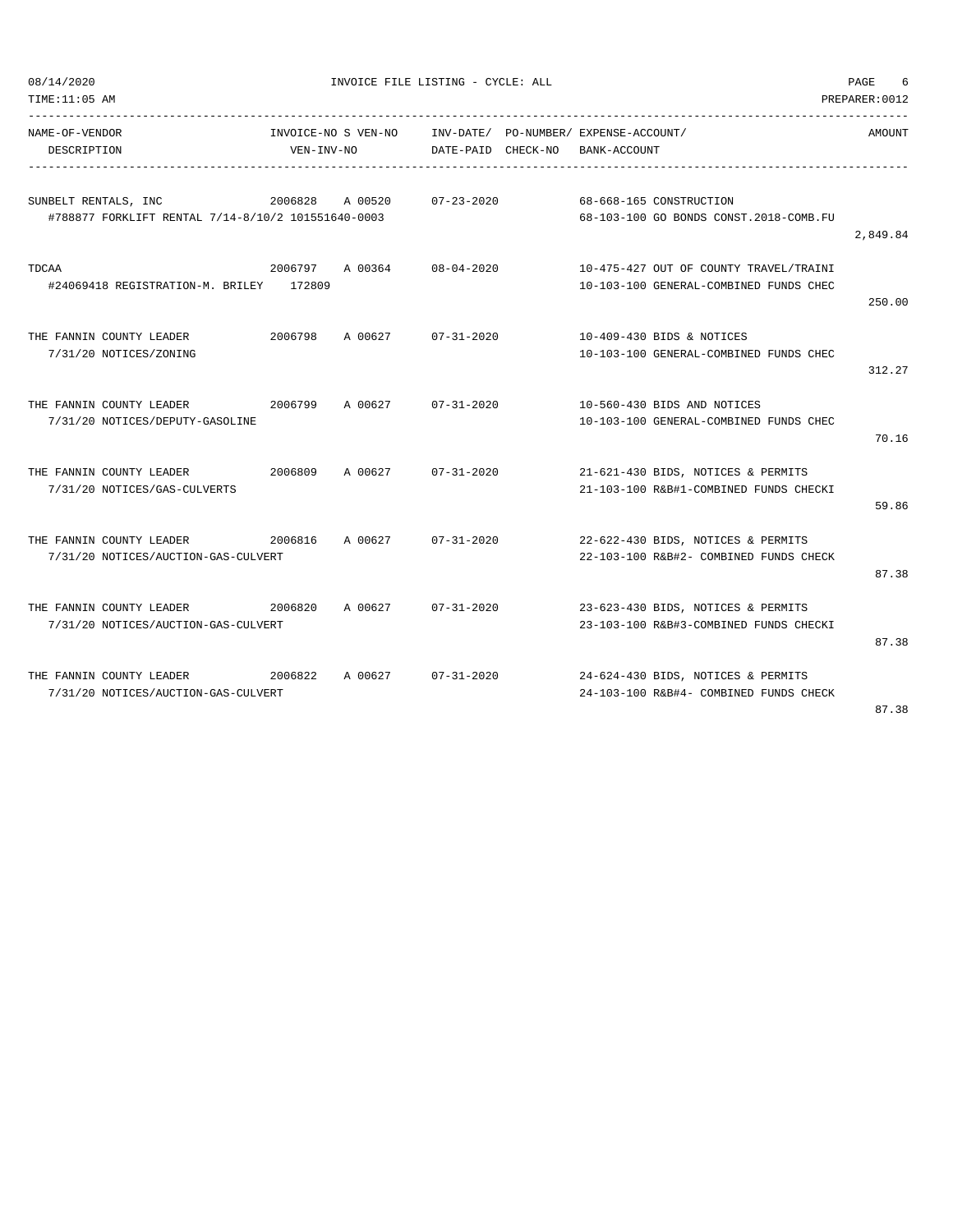| 08/14/2020<br>TIME:11:05 AM                                                |                                   | INVOICE FILE LISTING - CYCLE: ALL |                    |                                                                                  | PAGE<br>6<br>PREPARER: 0012 |
|----------------------------------------------------------------------------|-----------------------------------|-----------------------------------|--------------------|----------------------------------------------------------------------------------|-----------------------------|
| NAME-OF-VENDOR<br>DESCRIPTION                                              | INVOICE-NO S VEN-NO<br>VEN-INV-NO |                                   | DATE-PAID CHECK-NO | INV-DATE/ PO-NUMBER/ EXPENSE-ACCOUNT/<br>BANK-ACCOUNT                            | AMOUNT                      |
| SUNBELT RENTALS, INC<br>#788877 FORKLIFT RENTAL 7/14-8/10/2 101551640-0003 | 2006828                           | A 00520                           | $07 - 23 - 2020$   | 68-668-165 CONSTRUCTION<br>68-103-100 GO BONDS CONST.2018-COMB.FU                | 2,849.84                    |
| TDCAA<br>#24069418 REGISTRATION-M. BRILEY 172809                           | 2006797 A 00364                   |                                   | $08 - 04 - 2020$   | 10-475-427 OUT OF COUNTY TRAVEL/TRAINI<br>10-103-100 GENERAL-COMBINED FUNDS CHEC | 250.00                      |
| THE FANNIN COUNTY LEADER<br>7/31/20 NOTICES/ZONING                         | 2006798                           | A 00627                           | $07 - 31 - 2020$   | 10-409-430 BIDS & NOTICES<br>10-103-100 GENERAL-COMBINED FUNDS CHEC              | 312.27                      |
| THE FANNIN COUNTY LEADER<br>7/31/20 NOTICES/DEPUTY-GASOLINE                | 2006799                           | A 00627                           | $07 - 31 - 2020$   | 10-560-430 BIDS AND NOTICES<br>10-103-100 GENERAL-COMBINED FUNDS CHEC            | 70.16                       |
| THE FANNIN COUNTY LEADER<br>7/31/20 NOTICES/GAS-CULVERTS                   | 2006809                           | A 00627                           | $07 - 31 - 2020$   | 21-621-430 BIDS, NOTICES & PERMITS<br>21-103-100 R&B#1-COMBINED FUNDS CHECKI     | 59.86                       |
| THE FANNIN COUNTY LEADER<br>7/31/20 NOTICES/AUCTION-GAS-CULVERT            | 2006816                           | A 00627                           | $07 - 31 - 2020$   | 22-622-430 BIDS, NOTICES & PERMITS<br>22-103-100 R&B#2- COMBINED FUNDS CHECK     | 87.38                       |
| THE FANNIN COUNTY LEADER<br>7/31/20 NOTICES/AUCTION-GAS-CULVERT            | 2006820                           | A 00627                           | $07 - 31 - 2020$   | 23-623-430 BIDS, NOTICES & PERMITS<br>23-103-100 R&B#3-COMBINED FUNDS CHECKI     | 87.38                       |
| THE FANNIN COUNTY LEADER<br>7/31/20 NOTICES/AUCTION-GAS-CULVERT            | 2006822                           | A 00627                           | $07 - 31 - 2020$   | 24-624-430 BIDS, NOTICES & PERMITS<br>24-103-100 R&B#4- COMBINED FUNDS CHECK     | 87.38                       |